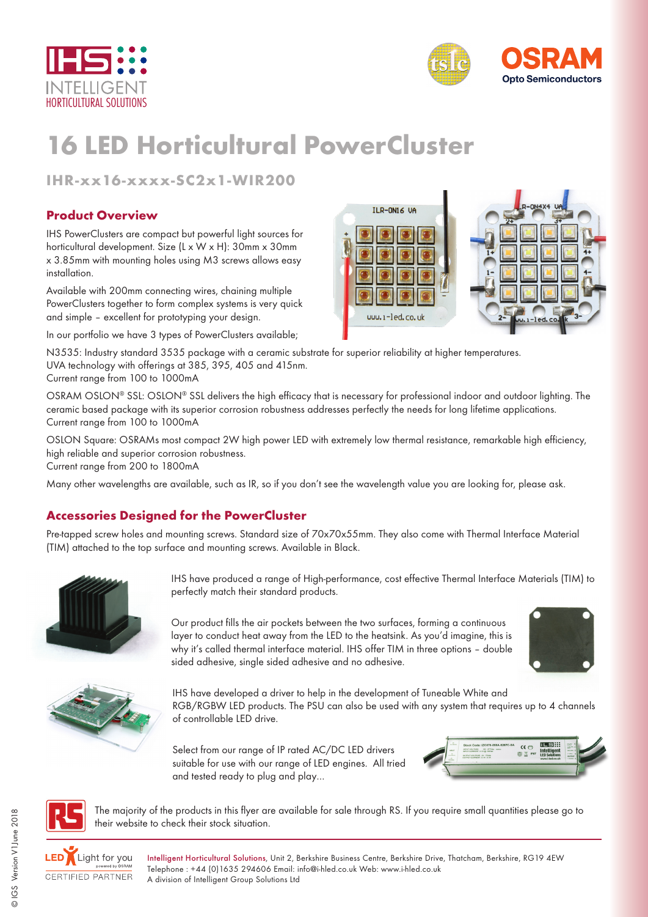



# **16 LED Horticultural PowerCluster**

**IHR-xx16-xxxx-SC2x1-WIR200**

#### **Product Overview**

IHS PowerClusters are compact but powerful light sources for horticultural development. Size (L x W x H): 30mm x 30mm x 3.85mm with mounting holes using M3 screws allows easy installation.

Available with 200mm connecting wires, chaining multiple PowerClusters together to form complex systems is very quick and simple – excellent for prototyping your design.

In our portfolio we have 3 types of PowerClusters available;

N3535: Industry standard 3535 package with a ceramic substrate for superior reliability at higher temperatures. UVA technology with offerings at 385, 395, 405 and 415nm. Current range from 100 to 1000mA

OSRAM OSLON® SSL: OSLON® SSL delivers the high efficacy that is necessary for professional indoor and outdoor lighting. The ceramic based package with its superior corrosion robustness addresses perfectly the needs for long lifetime applications. Current range from 100 to 1000mA

OSLON Square: OSRAMs most compact 2W high power LED with extremely low thermal resistance, remarkable high efficiency, high reliable and superior corrosion robustness.

Current range from 200 to 1800mA

Many other wavelengths are available, such as IR, so if you don't see the wavelength value you are looking for, please ask.

### **Accessories Designed for the PowerCluster**

Pre-tapped screw holes and mounting screws. Standard size of 70x70x55mm. They also come with Thermal Interface Material (TIM) attached to the top surface and mounting screws. Available in Black.



IHS have produced a range of High-performance, cost effective Thermal Interface Materials (TIM) to perfectly match their standard products.

Our product fills the air pockets between the two surfaces, forming a continuous layer to conduct heat away from the LED to the heatsink. As you'd imagine, this is why it's called thermal interface material. IHS offer TIM in three options – double sided adhesive, single sided adhesive and no adhesive.





IHS have developed a driver to help in the development of Tuneable White and RGB/RGBW LED products. The PSU can also be used with any system that requires up to 4 channels of controllable LED drive.

Select from our range of IP rated AC/DC LED drivers suitable for use with our range of LED engines. All tried and tested ready to plug and play…





The majority of the products in this flyer are available for sale through RS. If you require small quantities please go to their website to check their stock situation.



Intelligent Horticultural Solutions, Unit 2, Berkshire Business Centre, Berkshire Drive, Thatcham, Berkshire, RG19 4EW Telephone : +44 (0)1635 294606 Email: info@i-hled.co.uk Web: www.i-hled.co.uk A division of Intelligent Group Solutions Ltd